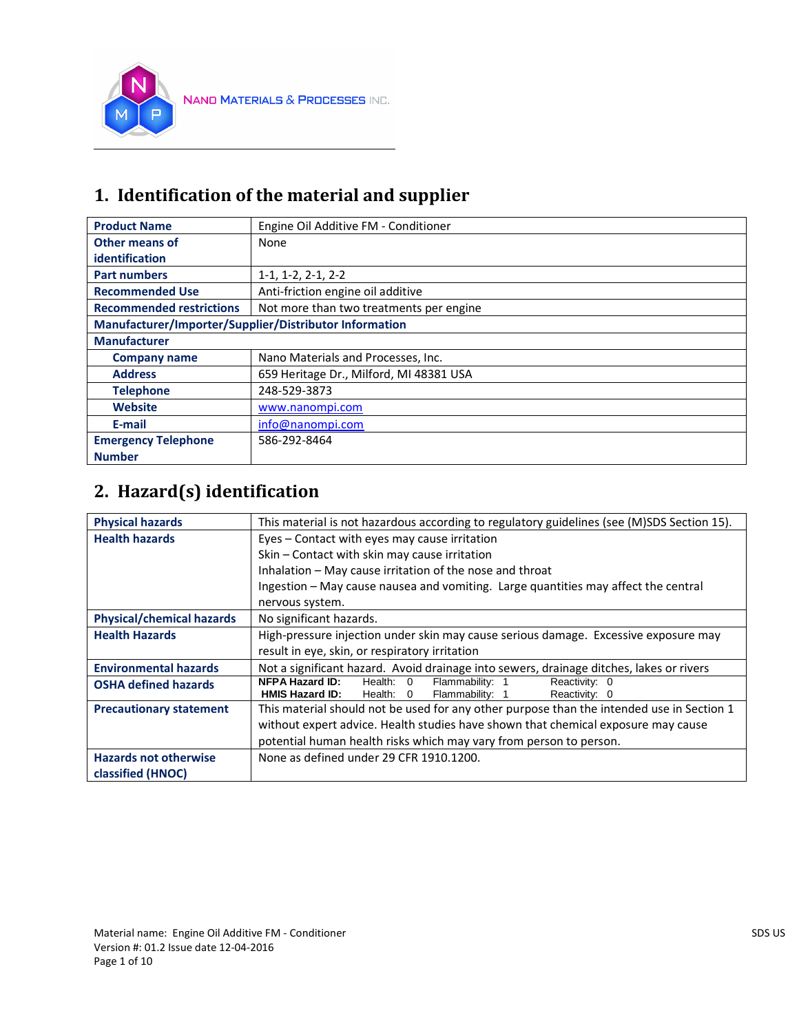

### **1. Identification of the material and supplier**

| <b>Product Name</b>                                    | Engine Oil Additive FM - Conditioner    |
|--------------------------------------------------------|-----------------------------------------|
| Other means of                                         | <b>None</b>                             |
| identification                                         |                                         |
| <b>Part numbers</b>                                    | $1-1, 1-2, 2-1, 2-2$                    |
| <b>Recommended Use</b>                                 | Anti-friction engine oil additive       |
| <b>Recommended restrictions</b>                        | Not more than two treatments per engine |
| Manufacturer/Importer/Supplier/Distributor Information |                                         |
| <b>Manufacturer</b>                                    |                                         |
| <b>Company name</b>                                    | Nano Materials and Processes, Inc.      |
| <b>Address</b>                                         | 659 Heritage Dr., Milford, MI 48381 USA |
| <b>Telephone</b>                                       | 248-529-3873                            |
| <b>Website</b>                                         | www.nanompi.com                         |
| E-mail                                                 | info@nanompi.com                        |
| <b>Emergency Telephone</b>                             | 586-292-8464                            |
| <b>Number</b>                                          |                                         |

# **2. Hazard(s) identification**

| <b>Physical hazards</b>          | This material is not hazardous according to regulatory guidelines (see (M)SDS Section 15). |  |  |
|----------------------------------|--------------------------------------------------------------------------------------------|--|--|
| <b>Health hazards</b>            | Eyes - Contact with eyes may cause irritation                                              |  |  |
|                                  | Skin - Contact with skin may cause irritation                                              |  |  |
|                                  | Inhalation - May cause irritation of the nose and throat                                   |  |  |
|                                  | Ingestion – May cause nausea and vomiting. Large quantities may affect the central         |  |  |
|                                  | nervous system.                                                                            |  |  |
| <b>Physical/chemical hazards</b> | No significant hazards.                                                                    |  |  |
| <b>Health Hazards</b>            | High-pressure injection under skin may cause serious damage. Excessive exposure may        |  |  |
|                                  | result in eye, skin, or respiratory irritation                                             |  |  |
| <b>Environmental hazards</b>     | Not a significant hazard. Avoid drainage into sewers, drainage ditches, lakes or rivers    |  |  |
| <b>OSHA defined hazards</b>      | <b>NFPA Hazard ID:</b><br>Flammability: 1<br>Reactivity: 0<br>Health: 0                    |  |  |
|                                  | <b>HMIS Hazard ID:</b><br>Flammability: 1<br>Reactivity: 0<br>Health: 0                    |  |  |
| <b>Precautionary statement</b>   | This material should not be used for any other purpose than the intended use in Section 1  |  |  |
|                                  | without expert advice. Health studies have shown that chemical exposure may cause          |  |  |
|                                  | potential human health risks which may vary from person to person.                         |  |  |
| <b>Hazards not otherwise</b>     | None as defined under 29 CFR 1910.1200.                                                    |  |  |
| classified (HNOC)                |                                                                                            |  |  |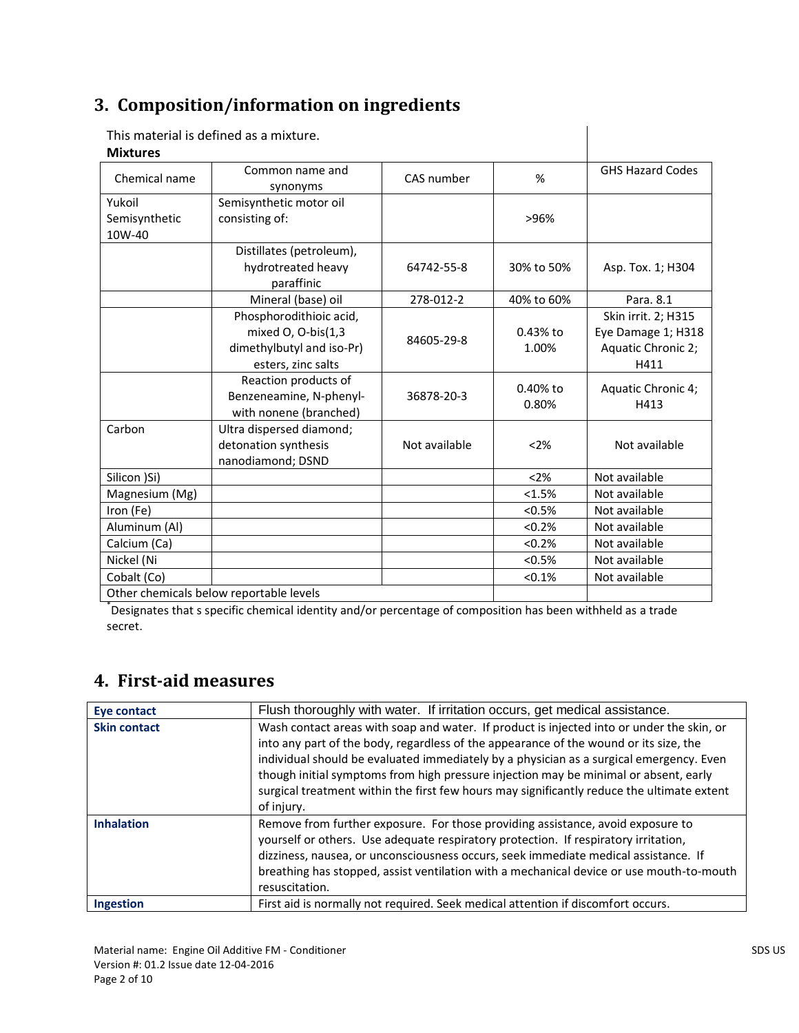### **3. Composition/information on ingredients**

|                 | This material is defined as a mixture.  |               |            |                         |
|-----------------|-----------------------------------------|---------------|------------|-------------------------|
| <b>Mixtures</b> |                                         |               |            |                         |
| Chemical name   | Common name and<br>synonyms             | CAS number    | %          | <b>GHS Hazard Codes</b> |
| Yukoil          | Semisynthetic motor oil                 |               |            |                         |
| Semisynthetic   | consisting of:                          |               | >96%       |                         |
| 10W-40          |                                         |               |            |                         |
|                 | Distillates (petroleum),                |               |            |                         |
|                 | hydrotreated heavy                      | 64742-55-8    | 30% to 50% | Asp. Tox. 1; H304       |
|                 | paraffinic                              |               |            |                         |
|                 | Mineral (base) oil                      | 278-012-2     | 40% to 60% | Para, 8.1               |
|                 | Phosphorodithioic acid,                 |               |            | Skin irrit. 2; H315     |
|                 | mixed O, O-bis(1,3                      | 84605-29-8    | 0.43% to   | Eye Damage 1; H318      |
|                 | dimethylbutyl and iso-Pr)               |               | 1.00%      | Aquatic Chronic 2;      |
|                 | esters, zinc salts                      |               |            | H411                    |
|                 | Reaction products of                    |               | $0.40%$ to | Aquatic Chronic 4;      |
|                 | Benzeneamine, N-phenyl-                 | 36878-20-3    | 0.80%      | H413                    |
|                 | with nonene (branched)                  |               |            |                         |
| Carbon          | Ultra dispersed diamond;                |               |            |                         |
|                 | detonation synthesis                    | Not available | < 2%       | Not available           |
|                 | nanodiamond; DSND                       |               |            |                         |
| Silicon )Si)    |                                         |               | < 2%       | Not available           |
| Magnesium (Mg)  |                                         |               | < 1.5%     | Not available           |
| Iron (Fe)       |                                         |               | < 0.5%     | Not available           |
| Aluminum (Al)   |                                         |               | < 0.2%     | Not available           |
| Calcium (Ca)    |                                         |               | < 0.2%     | Not available           |
| Nickel (Ni      |                                         |               | < 0.5%     | Not available           |
| Cobalt (Co)     |                                         |               | < 0.1%     | Not available           |
|                 | Other chemicals helow renortable levels |               |            |                         |

Other chemicals below reportable levels \* Designates that s specific chemical identity and/or percentage of composition has been withheld as a trade secret.

### **4. First-aid measures**

| Eye contact         | Flush thoroughly with water. If irritation occurs, get medical assistance.                                                                                                                                                                                                                                                                                                                                                                                                        |
|---------------------|-----------------------------------------------------------------------------------------------------------------------------------------------------------------------------------------------------------------------------------------------------------------------------------------------------------------------------------------------------------------------------------------------------------------------------------------------------------------------------------|
| <b>Skin contact</b> | Wash contact areas with soap and water. If product is injected into or under the skin, or<br>into any part of the body, regardless of the appearance of the wound or its size, the<br>individual should be evaluated immediately by a physician as a surgical emergency. Even<br>though initial symptoms from high pressure injection may be minimal or absent, early<br>surgical treatment within the first few hours may significantly reduce the ultimate extent<br>of injury. |
| <b>Inhalation</b>   | Remove from further exposure. For those providing assistance, avoid exposure to<br>yourself or others. Use adequate respiratory protection. If respiratory irritation,<br>dizziness, nausea, or unconsciousness occurs, seek immediate medical assistance. If<br>breathing has stopped, assist ventilation with a mechanical device or use mouth-to-mouth<br>resuscitation.                                                                                                       |
| <b>Ingestion</b>    | First aid is normally not required. Seek medical attention if discomfort occurs.                                                                                                                                                                                                                                                                                                                                                                                                  |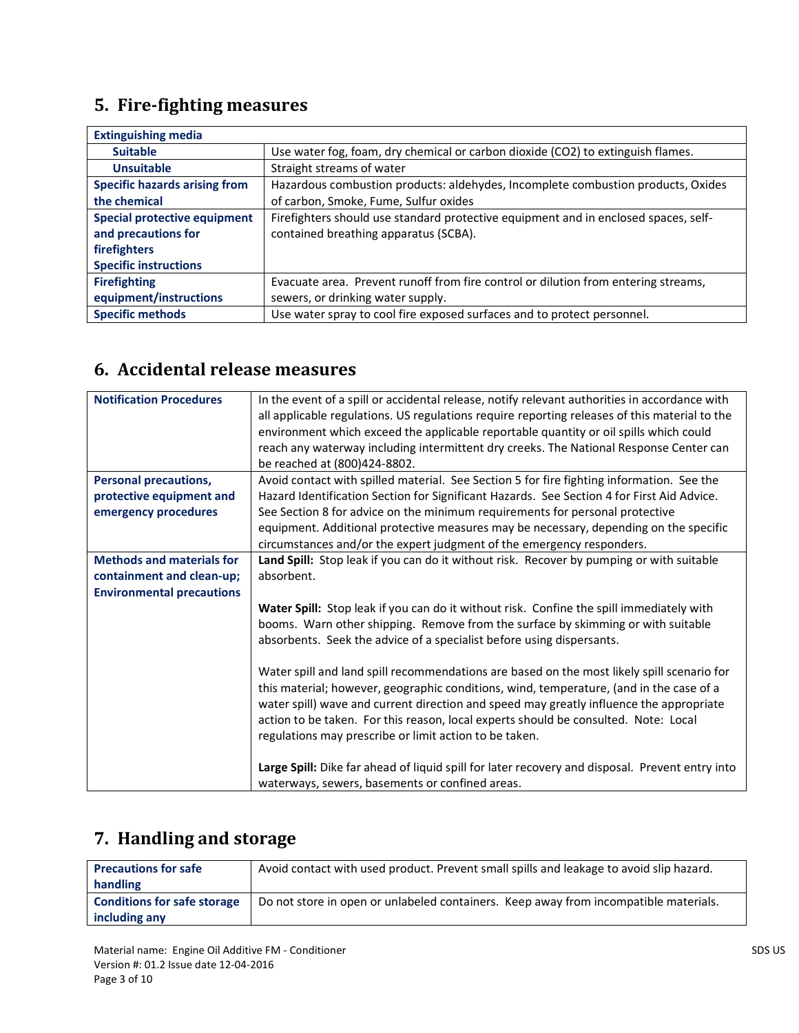# **5. Fire-fighting measures**

| <b>Extinguishing media</b>           |                                                                                     |
|--------------------------------------|-------------------------------------------------------------------------------------|
| <b>Suitable</b>                      | Use water fog, foam, dry chemical or carbon dioxide (CO2) to extinguish flames.     |
| <b>Unsuitable</b>                    | Straight streams of water                                                           |
| <b>Specific hazards arising from</b> | Hazardous combustion products: aldehydes, Incomplete combustion products, Oxides    |
| the chemical                         | of carbon, Smoke, Fume, Sulfur oxides                                               |
| <b>Special protective equipment</b>  | Firefighters should use standard protective equipment and in enclosed spaces, self- |
| and precautions for                  | contained breathing apparatus (SCBA).                                               |
| firefighters                         |                                                                                     |
| <b>Specific instructions</b>         |                                                                                     |
| <b>Firefighting</b>                  | Evacuate area. Prevent runoff from fire control or dilution from entering streams,  |
| equipment/instructions               | sewers, or drinking water supply.                                                   |
| <b>Specific methods</b>              | Use water spray to cool fire exposed surfaces and to protect personnel.             |

### **6. Accidental release measures**

| <b>Notification Procedures</b>                                                                    | In the event of a spill or accidental release, notify relevant authorities in accordance with<br>all applicable regulations. US regulations require reporting releases of this material to the<br>environment which exceed the applicable reportable quantity or oil spills which could<br>reach any waterway including intermittent dry creeks. The National Response Center can<br>be reached at (800)424-8802.                                                                                                                                                                                                                                                                                                                                                                                                                                                                                       |
|---------------------------------------------------------------------------------------------------|---------------------------------------------------------------------------------------------------------------------------------------------------------------------------------------------------------------------------------------------------------------------------------------------------------------------------------------------------------------------------------------------------------------------------------------------------------------------------------------------------------------------------------------------------------------------------------------------------------------------------------------------------------------------------------------------------------------------------------------------------------------------------------------------------------------------------------------------------------------------------------------------------------|
| <b>Personal precautions,</b><br>protective equipment and<br>emergency procedures                  | Avoid contact with spilled material. See Section 5 for fire fighting information. See the<br>Hazard Identification Section for Significant Hazards. See Section 4 for First Aid Advice.<br>See Section 8 for advice on the minimum requirements for personal protective<br>equipment. Additional protective measures may be necessary, depending on the specific<br>circumstances and/or the expert judgment of the emergency responders.                                                                                                                                                                                                                                                                                                                                                                                                                                                               |
| <b>Methods and materials for</b><br>containment and clean-up;<br><b>Environmental precautions</b> | Land Spill: Stop leak if you can do it without risk. Recover by pumping or with suitable<br>absorbent.<br>Water Spill: Stop leak if you can do it without risk. Confine the spill immediately with<br>booms. Warn other shipping. Remove from the surface by skimming or with suitable<br>absorbents. Seek the advice of a specialist before using dispersants.<br>Water spill and land spill recommendations are based on the most likely spill scenario for<br>this material; however, geographic conditions, wind, temperature, (and in the case of a<br>water spill) wave and current direction and speed may greatly influence the appropriate<br>action to be taken. For this reason, local experts should be consulted. Note: Local<br>regulations may prescribe or limit action to be taken.<br>Large Spill: Dike far ahead of liquid spill for later recovery and disposal. Prevent entry into |
|                                                                                                   | waterways, sewers, basements or confined areas.                                                                                                                                                                                                                                                                                                                                                                                                                                                                                                                                                                                                                                                                                                                                                                                                                                                         |

### **7. Handling and storage**

| <b>Precautions for safe</b>        | Avoid contact with used product. Prevent small spills and leakage to avoid slip hazard. |
|------------------------------------|-----------------------------------------------------------------------------------------|
| handling                           |                                                                                         |
| <b>Conditions for safe storage</b> | Do not store in open or unlabeled containers. Keep away from incompatible materials.    |
| including any                      |                                                                                         |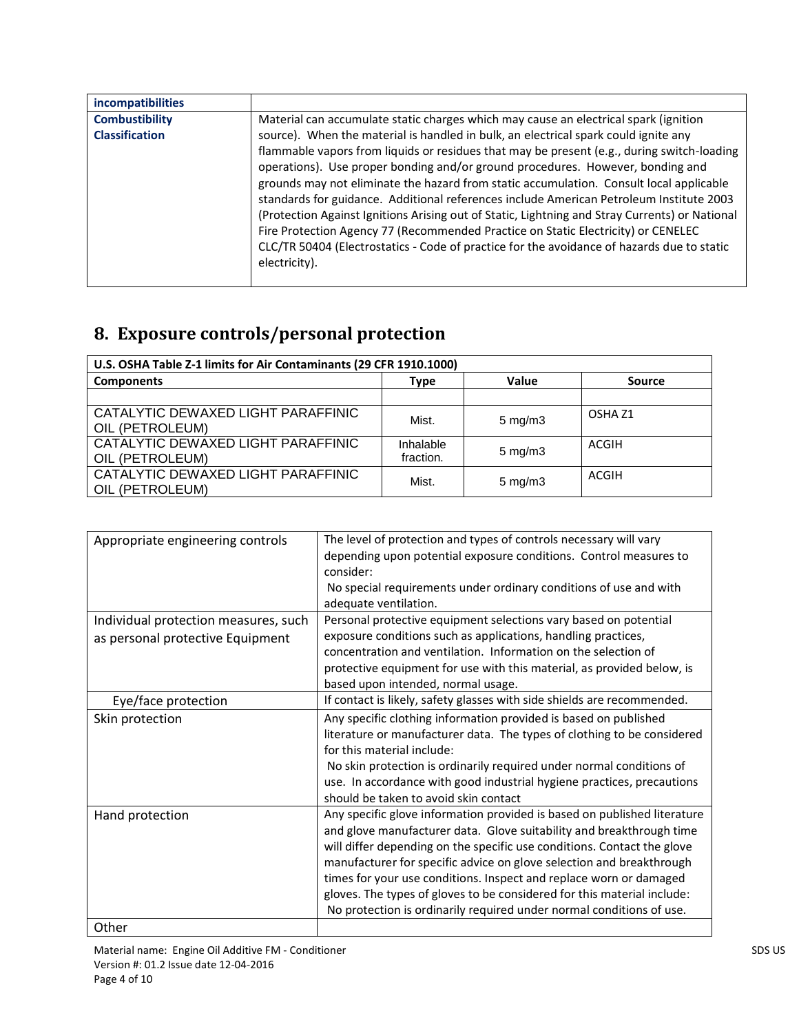| incompatibilities     |                                                                                                                                                                                                                                                                                                                                                                                                                                                                                                                                                                                                                                                                          |
|-----------------------|--------------------------------------------------------------------------------------------------------------------------------------------------------------------------------------------------------------------------------------------------------------------------------------------------------------------------------------------------------------------------------------------------------------------------------------------------------------------------------------------------------------------------------------------------------------------------------------------------------------------------------------------------------------------------|
| <b>Combustibility</b> | Material can accumulate static charges which may cause an electrical spark (ignition                                                                                                                                                                                                                                                                                                                                                                                                                                                                                                                                                                                     |
| <b>Classification</b> | source). When the material is handled in bulk, an electrical spark could ignite any                                                                                                                                                                                                                                                                                                                                                                                                                                                                                                                                                                                      |
|                       | flammable vapors from liquids or residues that may be present (e.g., during switch-loading<br>operations). Use proper bonding and/or ground procedures. However, bonding and<br>grounds may not eliminate the hazard from static accumulation. Consult local applicable<br>standards for guidance. Additional references include American Petroleum Institute 2003<br>(Protection Against Ignitions Arising out of Static, Lightning and Stray Currents) or National<br>Fire Protection Agency 77 (Recommended Practice on Static Electricity) or CENELEC<br>CLC/TR 50404 (Electrostatics - Code of practice for the avoidance of hazards due to static<br>electricity). |

# **8. Exposure controls/personal protection**

| U.S. OSHA Table Z-1 limits for Air Contaminants (29 CFR 1910.1000) |                        |                  |                    |
|--------------------------------------------------------------------|------------------------|------------------|--------------------|
| <b>Components</b>                                                  | <b>Type</b>            | Value            | <b>Source</b>      |
|                                                                    |                        |                  |                    |
| CATALYTIC DEWAXED LIGHT PARAFFINIC<br>OIL (PETROLEUM)              | Mist.                  | $5 \text{ mg/m}$ | OSHA <sub>Z1</sub> |
| CATALYTIC DEWAXED LIGHT PARAFFINIC<br>OIL (PETROLEUM)              | Inhalable<br>fraction. | $5 \text{ mg/m}$ | ACGIH              |
| CATALYTIC DEWAXED LIGHT PARAFFINIC<br>OIL (PETROLEUM)              | Mist.                  | $5 \text{ mg/m}$ | ACGIH              |

| Appropriate engineering controls     | The level of protection and types of controls necessary will vary        |
|--------------------------------------|--------------------------------------------------------------------------|
|                                      | depending upon potential exposure conditions. Control measures to        |
|                                      | consider:                                                                |
|                                      | No special requirements under ordinary conditions of use and with        |
|                                      | adequate ventilation.                                                    |
| Individual protection measures, such | Personal protective equipment selections vary based on potential         |
| as personal protective Equipment     | exposure conditions such as applications, handling practices,            |
|                                      | concentration and ventilation. Information on the selection of           |
|                                      | protective equipment for use with this material, as provided below, is   |
|                                      | based upon intended, normal usage.                                       |
| Eye/face protection                  | If contact is likely, safety glasses with side shields are recommended.  |
| Skin protection                      | Any specific clothing information provided is based on published         |
|                                      | literature or manufacturer data. The types of clothing to be considered  |
|                                      | for this material include:                                               |
|                                      | No skin protection is ordinarily required under normal conditions of     |
|                                      | use. In accordance with good industrial hygiene practices, precautions   |
|                                      | should be taken to avoid skin contact                                    |
| Hand protection                      | Any specific glove information provided is based on published literature |
|                                      | and glove manufacturer data. Glove suitability and breakthrough time     |
|                                      | will differ depending on the specific use conditions. Contact the glove  |
|                                      | manufacturer for specific advice on glove selection and breakthrough     |
|                                      | times for your use conditions. Inspect and replace worn or damaged       |
|                                      | gloves. The types of gloves to be considered for this material include:  |
|                                      | No protection is ordinarily required under normal conditions of use.     |
| Other                                |                                                                          |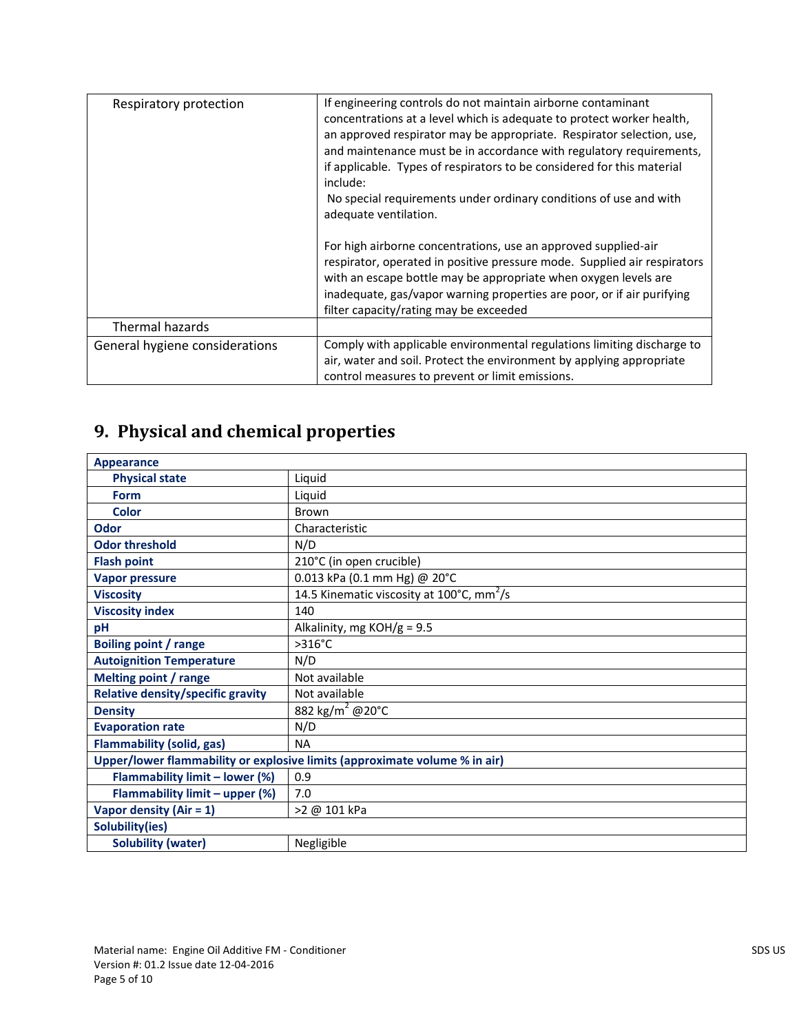| Respiratory protection         | If engineering controls do not maintain airborne contaminant<br>concentrations at a level which is adequate to protect worker health,<br>an approved respirator may be appropriate. Respirator selection, use,<br>and maintenance must be in accordance with regulatory requirements,<br>if applicable. Types of respirators to be considered for this material<br>include:<br>No special requirements under ordinary conditions of use and with |
|--------------------------------|--------------------------------------------------------------------------------------------------------------------------------------------------------------------------------------------------------------------------------------------------------------------------------------------------------------------------------------------------------------------------------------------------------------------------------------------------|
|                                | adequate ventilation.<br>For high airborne concentrations, use an approved supplied-air<br>respirator, operated in positive pressure mode. Supplied air respirators<br>with an escape bottle may be appropriate when oxygen levels are<br>inadequate, gas/vapor warning properties are poor, or if air purifying<br>filter capacity/rating may be exceeded                                                                                       |
| Thermal hazards                |                                                                                                                                                                                                                                                                                                                                                                                                                                                  |
| General hygiene considerations | Comply with applicable environmental regulations limiting discharge to<br>air, water and soil. Protect the environment by applying appropriate<br>control measures to prevent or limit emissions.                                                                                                                                                                                                                                                |

# **9. Physical and chemical properties**

| Appearance                                                                 |                                                                 |  |
|----------------------------------------------------------------------------|-----------------------------------------------------------------|--|
| <b>Physical state</b>                                                      | Liquid                                                          |  |
| <b>Form</b>                                                                | Liquid                                                          |  |
| <b>Color</b>                                                               | Brown                                                           |  |
| Odor                                                                       | Characteristic                                                  |  |
| <b>Odor threshold</b>                                                      | N/D                                                             |  |
| <b>Flash point</b>                                                         | 210°C (in open crucible)                                        |  |
| <b>Vapor pressure</b>                                                      | 0.013 kPa (0.1 mm Hg) @ 20°C                                    |  |
| <b>Viscosity</b>                                                           | 14.5 Kinematic viscosity at $100^{\circ}$ C, mm <sup>2</sup> /s |  |
| <b>Viscosity index</b>                                                     | 140                                                             |  |
| pH                                                                         | Alkalinity, mg $KOH/g = 9.5$                                    |  |
| <b>Boiling point / range</b>                                               | $>316^{\circ}C$                                                 |  |
| <b>Autoignition Temperature</b>                                            | N/D                                                             |  |
| <b>Melting point / range</b>                                               | Not available                                                   |  |
| <b>Relative density/specific gravity</b>                                   | Not available                                                   |  |
| <b>Density</b>                                                             | 882 kg/m <sup>2</sup> @20°C                                     |  |
| <b>Evaporation rate</b>                                                    | N/D                                                             |  |
| <b>Flammability (solid, gas)</b>                                           | <b>NA</b>                                                       |  |
| Upper/lower flammability or explosive limits (approximate volume % in air) |                                                                 |  |
| Flammability limit - lower (%)                                             | 0.9                                                             |  |
| Flammability limit - upper (%)                                             | 7.0                                                             |  |
| Vapor density (Air = $1$ )                                                 | >2 @ 101 kPa                                                    |  |
| Solubility(ies)                                                            |                                                                 |  |
| <b>Solubility (water)</b>                                                  | Negligible                                                      |  |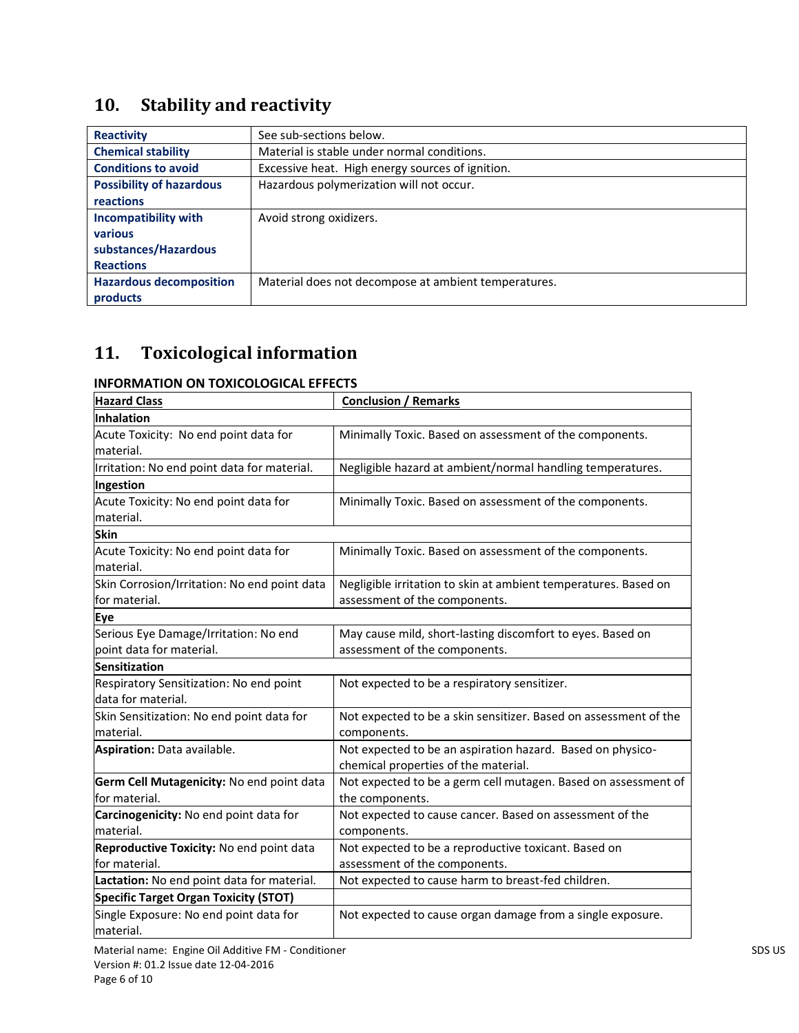# **10. Stability and reactivity**

| <b>Reactivity</b>               | See sub-sections below.                              |
|---------------------------------|------------------------------------------------------|
| <b>Chemical stability</b>       | Material is stable under normal conditions.          |
| <b>Conditions to avoid</b>      | Excessive heat. High energy sources of ignition.     |
| <b>Possibility of hazardous</b> | Hazardous polymerization will not occur.             |
| reactions                       |                                                      |
| <b>Incompatibility with</b>     | Avoid strong oxidizers.                              |
| various                         |                                                      |
| substances/Hazardous            |                                                      |
| <b>Reactions</b>                |                                                      |
| <b>Hazardous decomposition</b>  | Material does not decompose at ambient temperatures. |
| products                        |                                                      |

# **11. Toxicological information**

### **INFORMATION ON TOXICOLOGICAL EFFECTS**

| <b>Hazard Class</b>                          | <b>Conclusion / Remarks</b>                                      |
|----------------------------------------------|------------------------------------------------------------------|
| Inhalation                                   |                                                                  |
| Acute Toxicity: No end point data for        | Minimally Toxic. Based on assessment of the components.          |
| material.                                    |                                                                  |
| Irritation: No end point data for material.  | Negligible hazard at ambient/normal handling temperatures.       |
| Ingestion                                    |                                                                  |
| Acute Toxicity: No end point data for        | Minimally Toxic. Based on assessment of the components.          |
| material.                                    |                                                                  |
| <b>Skin</b>                                  |                                                                  |
| Acute Toxicity: No end point data for        | Minimally Toxic. Based on assessment of the components.          |
| material.                                    |                                                                  |
| Skin Corrosion/Irritation: No end point data | Negligible irritation to skin at ambient temperatures. Based on  |
| for material.                                | assessment of the components.                                    |
| Eye                                          |                                                                  |
| Serious Eye Damage/Irritation: No end        | May cause mild, short-lasting discomfort to eyes. Based on       |
| point data for material.                     | assessment of the components.                                    |
| <b>Sensitization</b>                         |                                                                  |
| Respiratory Sensitization: No end point      | Not expected to be a respiratory sensitizer.                     |
| data for material.                           |                                                                  |
| Skin Sensitization: No end point data for    | Not expected to be a skin sensitizer. Based on assessment of the |
| material.                                    | components.                                                      |
| Aspiration: Data available.                  | Not expected to be an aspiration hazard. Based on physico-       |
|                                              | chemical properties of the material.                             |
| Germ Cell Mutagenicity: No end point data    | Not expected to be a germ cell mutagen. Based on assessment of   |
| for material.                                | the components.                                                  |
| Carcinogenicity: No end point data for       | Not expected to cause cancer. Based on assessment of the         |
| material.                                    | components.                                                      |
| Reproductive Toxicity: No end point data     | Not expected to be a reproductive toxicant. Based on             |
| for material.                                | assessment of the components.                                    |
| Lactation: No end point data for material.   | Not expected to cause harm to breast-fed children.               |
| <b>Specific Target Organ Toxicity (STOT)</b> |                                                                  |
| Single Exposure: No end point data for       | Not expected to cause organ damage from a single exposure.       |
| material.                                    |                                                                  |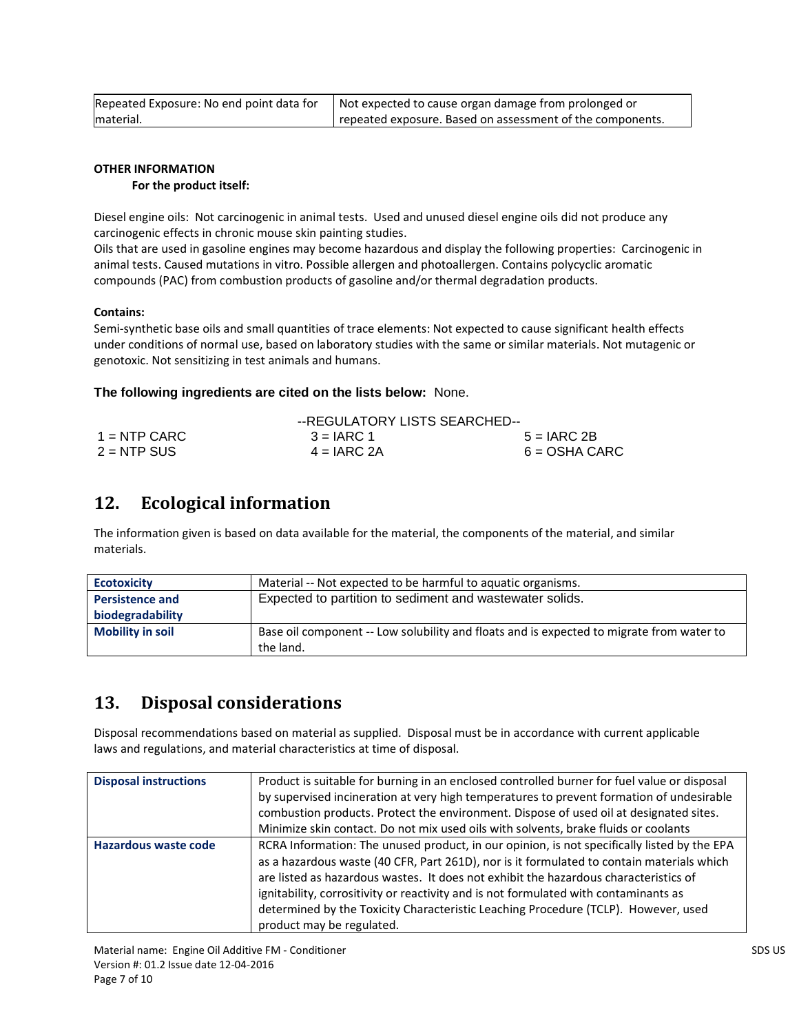| Repeated Exposure: No end point data for | Not expected to cause organ damage from prolonged or      |
|------------------------------------------|-----------------------------------------------------------|
| lmaterial.                               | repeated exposure. Based on assessment of the components. |

### **OTHER INFORMATION**

#### **For the product itself:**

Diesel engine oils: Not carcinogenic in animal tests. Used and unused diesel engine oils did not produce any carcinogenic effects in chronic mouse skin painting studies.

Oils that are used in gasoline engines may become hazardous and display the following properties: Carcinogenic in animal tests. Caused mutations in vitro. Possible allergen and photoallergen. Contains polycyclic aromatic compounds (PAC) from combustion products of gasoline and/or thermal degradation products.

#### **Contains:**

Semi-synthetic base oils and small quantities of trace elements: Not expected to cause significant health effects under conditions of normal use, based on laboratory studies with the same or similar materials. Not mutagenic or genotoxic. Not sensitizing in test animals and humans.

#### **The following ingredients are cited on the lists below:** None.

|                | --REGULATORY LISTS SEARCHED-- |                 |
|----------------|-------------------------------|-----------------|
| $1 =$ NTP CARC | $3 = IARC 1$                  | $5 = IARC2B$    |
| $2 = NTP$ SUS  | $4 = IARC 2A$                 | $6 = OSHA CARC$ |

### **12. Ecological information**

The information given is based on data available for the material, the components of the material, and similar materials.

| <b>Ecotoxicity</b>      | Material -- Not expected to be harmful to aquatic organisms.                             |
|-------------------------|------------------------------------------------------------------------------------------|
| <b>Persistence and</b>  | Expected to partition to sediment and wastewater solids.                                 |
| biodegradability        |                                                                                          |
| <b>Mobility in soil</b> | Base oil component -- Low solubility and floats and is expected to migrate from water to |
|                         | the land.                                                                                |

### **13. Disposal considerations**

Disposal recommendations based on material as supplied. Disposal must be in accordance with current applicable laws and regulations, and material characteristics at time of disposal.

| <b>Disposal instructions</b> | Product is suitable for burning in an enclosed controlled burner for fuel value or disposal<br>by supervised incineration at very high temperatures to prevent formation of undesirable<br>combustion products. Protect the environment. Dispose of used oil at designated sites.<br>Minimize skin contact. Do not mix used oils with solvents, brake fluids or coolants                                                                                                                    |
|------------------------------|---------------------------------------------------------------------------------------------------------------------------------------------------------------------------------------------------------------------------------------------------------------------------------------------------------------------------------------------------------------------------------------------------------------------------------------------------------------------------------------------|
| Hazardous waste code         | RCRA Information: The unused product, in our opinion, is not specifically listed by the EPA<br>as a hazardous waste (40 CFR, Part 261D), nor is it formulated to contain materials which<br>are listed as hazardous wastes. It does not exhibit the hazardous characteristics of<br>ignitability, corrositivity or reactivity and is not formulated with contaminants as<br>determined by the Toxicity Characteristic Leaching Procedure (TCLP). However, used<br>product may be regulated. |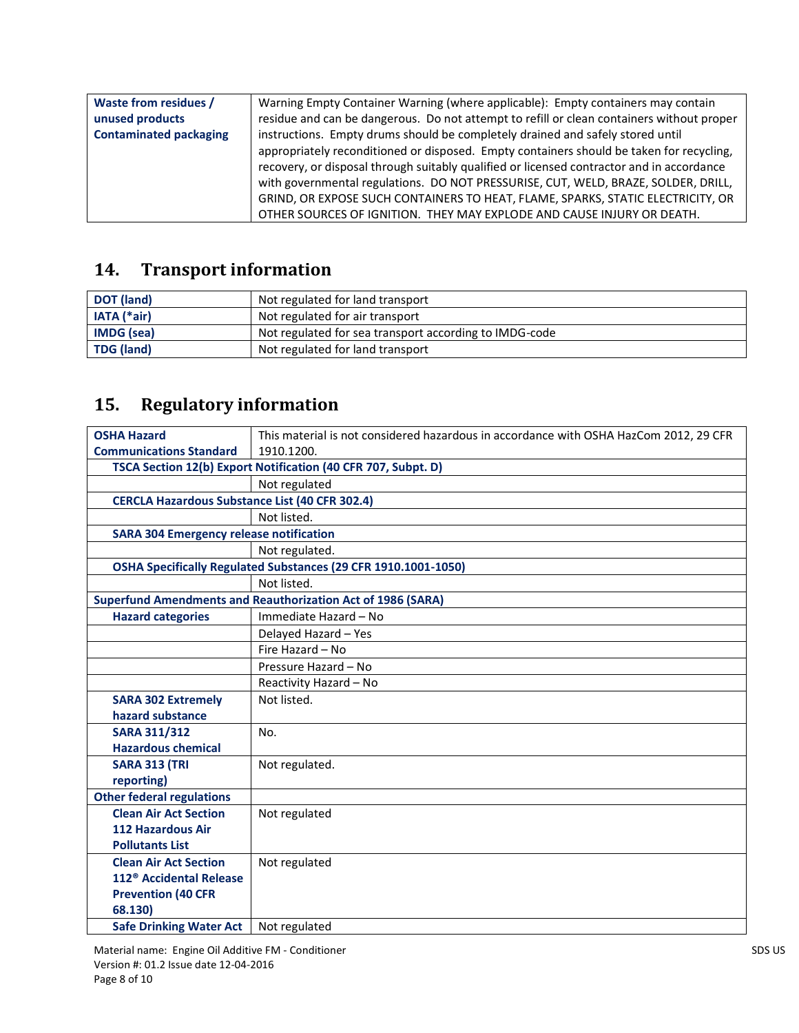| <b>Waste from residues /</b>  | Warning Empty Container Warning (where applicable): Empty containers may contain          |
|-------------------------------|-------------------------------------------------------------------------------------------|
| unused products               | residue and can be dangerous. Do not attempt to refill or clean containers without proper |
| <b>Contaminated packaging</b> | instructions. Empty drums should be completely drained and safely stored until            |
|                               | appropriately reconditioned or disposed. Empty containers should be taken for recycling,  |
|                               | recovery, or disposal through suitably qualified or licensed contractor and in accordance |
|                               | with governmental regulations. DO NOT PRESSURISE, CUT, WELD, BRAZE, SOLDER, DRILL,        |
|                               | GRIND, OR EXPOSE SUCH CONTAINERS TO HEAT, FLAME, SPARKS, STATIC ELECTRICITY, OR           |
|                               | OTHER SOURCES OF IGNITION. THEY MAY EXPLODE AND CAUSE INJURY OR DEATH.                    |

# **14. Transport information**

| <b>DOT</b> (land) | Not regulated for land transport                       |
|-------------------|--------------------------------------------------------|
| $IATA$ (*air)     | Not regulated for air transport                        |
| <b>IMDG</b> (sea) | Not regulated for sea transport according to IMDG-code |
| <b>TDG (land)</b> | Not regulated for land transport                       |

# **15. Regulatory information**

| <b>OSHA Hazard</b>                                    | This material is not considered hazardous in accordance with OSHA HazCom 2012, 29 CFR |  |  |
|-------------------------------------------------------|---------------------------------------------------------------------------------------|--|--|
| <b>Communications Standard</b>                        | 1910.1200.                                                                            |  |  |
|                                                       | TSCA Section 12(b) Export Notification (40 CFR 707, Subpt. D)                         |  |  |
|                                                       | Not regulated                                                                         |  |  |
| <b>CERCLA Hazardous Substance List (40 CFR 302.4)</b> |                                                                                       |  |  |
|                                                       | Not listed.                                                                           |  |  |
| <b>SARA 304 Emergency release notification</b>        |                                                                                       |  |  |
|                                                       | Not regulated.                                                                        |  |  |
|                                                       | OSHA Specifically Regulated Substances (29 CFR 1910.1001-1050)                        |  |  |
|                                                       | Not listed.                                                                           |  |  |
|                                                       | <b>Superfund Amendments and Reauthorization Act of 1986 (SARA)</b>                    |  |  |
| <b>Hazard categories</b>                              | Immediate Hazard - No                                                                 |  |  |
|                                                       | Delayed Hazard - Yes                                                                  |  |  |
|                                                       | Fire Hazard - No                                                                      |  |  |
|                                                       | Pressure Hazard - No                                                                  |  |  |
|                                                       | Reactivity Hazard - No                                                                |  |  |
| <b>SARA 302 Extremely</b>                             | Not listed.                                                                           |  |  |
| hazard substance                                      |                                                                                       |  |  |
| <b>SARA 311/312</b>                                   | No.                                                                                   |  |  |
| <b>Hazardous chemical</b>                             |                                                                                       |  |  |
| <b>SARA 313 (TRI</b>                                  | Not regulated.                                                                        |  |  |
| reporting)                                            |                                                                                       |  |  |
| <b>Other federal regulations</b>                      |                                                                                       |  |  |
| <b>Clean Air Act Section</b>                          | Not regulated                                                                         |  |  |
| <b>112 Hazardous Air</b>                              |                                                                                       |  |  |
| <b>Pollutants List</b>                                |                                                                                       |  |  |
| <b>Clean Air Act Section</b>                          | Not regulated                                                                         |  |  |
| 112 <sup>®</sup> Accidental Release                   |                                                                                       |  |  |
| <b>Prevention (40 CFR</b>                             |                                                                                       |  |  |
| 68.130)                                               |                                                                                       |  |  |
| <b>Safe Drinking Water Act</b>                        | Not regulated                                                                         |  |  |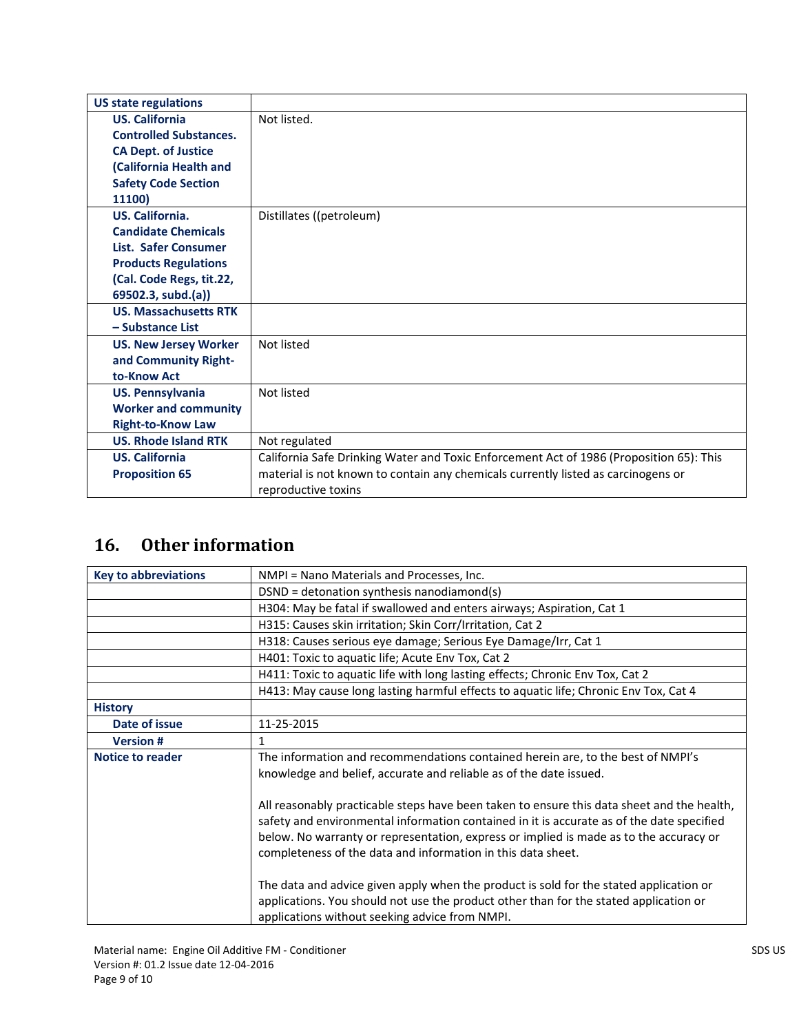| <b>US state regulations</b>   |                                                                                         |
|-------------------------------|-----------------------------------------------------------------------------------------|
| <b>US. California</b>         | Not listed.                                                                             |
| <b>Controlled Substances.</b> |                                                                                         |
| <b>CA Dept. of Justice</b>    |                                                                                         |
| (California Health and        |                                                                                         |
| <b>Safety Code Section</b>    |                                                                                         |
| 11100)                        |                                                                                         |
| US. California.               | Distillates ((petroleum)                                                                |
| <b>Candidate Chemicals</b>    |                                                                                         |
| <b>List. Safer Consumer</b>   |                                                                                         |
| <b>Products Regulations</b>   |                                                                                         |
| (Cal. Code Regs, tit.22,      |                                                                                         |
| 69502.3, subd.(a))            |                                                                                         |
| <b>US. Massachusetts RTK</b>  |                                                                                         |
| - Substance List              |                                                                                         |
| <b>US. New Jersey Worker</b>  | Not listed                                                                              |
| and Community Right-          |                                                                                         |
| to-Know Act                   |                                                                                         |
| <b>US. Pennsylvania</b>       | Not listed                                                                              |
| <b>Worker and community</b>   |                                                                                         |
| <b>Right-to-Know Law</b>      |                                                                                         |
| <b>US. Rhode Island RTK</b>   | Not regulated                                                                           |
| <b>US. California</b>         | California Safe Drinking Water and Toxic Enforcement Act of 1986 (Proposition 65): This |
| <b>Proposition 65</b>         | material is not known to contain any chemicals currently listed as carcinogens or       |
|                               | reproductive toxins                                                                     |

### **16. Other information**

| <b>Key to abbreviations</b> | NMPI = Nano Materials and Processes, Inc.                                                                                                                                                                                                                                                                                                         |
|-----------------------------|---------------------------------------------------------------------------------------------------------------------------------------------------------------------------------------------------------------------------------------------------------------------------------------------------------------------------------------------------|
|                             | DSND = detonation synthesis nanodiamond(s)                                                                                                                                                                                                                                                                                                        |
|                             | H304: May be fatal if swallowed and enters airways; Aspiration, Cat 1                                                                                                                                                                                                                                                                             |
|                             | H315: Causes skin irritation; Skin Corr/Irritation, Cat 2                                                                                                                                                                                                                                                                                         |
|                             | H318: Causes serious eye damage; Serious Eye Damage/Irr, Cat 1                                                                                                                                                                                                                                                                                    |
|                             | H401: Toxic to aquatic life; Acute Env Tox, Cat 2                                                                                                                                                                                                                                                                                                 |
|                             | H411: Toxic to aquatic life with long lasting effects; Chronic Env Tox, Cat 2                                                                                                                                                                                                                                                                     |
|                             | H413: May cause long lasting harmful effects to aquatic life; Chronic Env Tox, Cat 4                                                                                                                                                                                                                                                              |
| <b>History</b>              |                                                                                                                                                                                                                                                                                                                                                   |
| Date of issue               | 11-25-2015                                                                                                                                                                                                                                                                                                                                        |
| <b>Version#</b>             | 1                                                                                                                                                                                                                                                                                                                                                 |
| <b>Notice to reader</b>     | The information and recommendations contained herein are, to the best of NMPI's                                                                                                                                                                                                                                                                   |
|                             | knowledge and belief, accurate and reliable as of the date issued.                                                                                                                                                                                                                                                                                |
|                             | All reasonably practicable steps have been taken to ensure this data sheet and the health,<br>safety and environmental information contained in it is accurate as of the date specified<br>below. No warranty or representation, express or implied is made as to the accuracy or<br>completeness of the data and information in this data sheet. |
|                             | The data and advice given apply when the product is sold for the stated application or<br>applications. You should not use the product other than for the stated application or<br>applications without seeking advice from NMPI.                                                                                                                 |